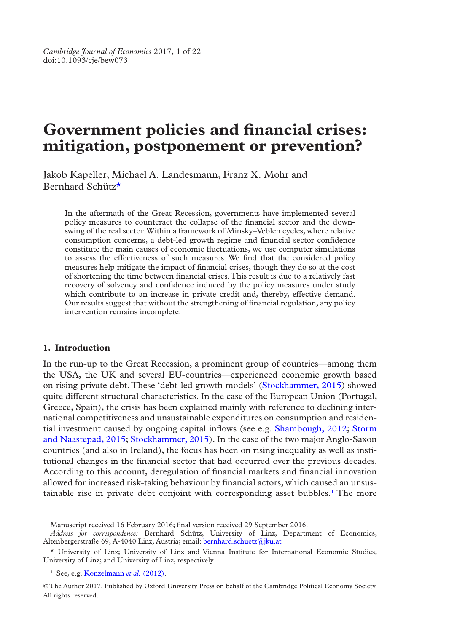# **Government policies and financial crises: mitigation, postponement or prevention?**

Jakob Kapeller, Michael A. Landesmann, Franz X. Mohr and Bernhard Schüt[z\\*](#page-0-0)

In the aftermath of the Great Recession, governments have implemented several policy measures to counteract the collapse of the financial sector and the downswing of the real sector. Within a framework of Minsky–Veblen cycles, where relative consumption concerns, a debt-led growth regime and financial sector confidence constitute the main causes of economic fluctuations, we use computer simulations to assess the effectiveness of such measures. We find that the considered policy measures help mitigate the impact of financial crises, though they do so at the cost of shortening the time between financial crises. This result is due to a relatively fast recovery of solvency and confidence induced by the policy measures under study which contribute to an increase in private credit and, thereby, effective demand. Our results suggest that without the strengthening of financial regulation, any policy intervention remains incomplete.

# **1. Introduction**

In the run-up to the Great Recession, a prominent group of countries—among them the USA, the UK and several EU-countries—experienced economic growth based on rising private debt. These 'debt-led growth models' [\(Stockhammer, 2015\)](#page-21-0) showed quite different structural characteristics. In the case of the European Union (Portugal, Greece, Spain), the crisis has been explained mainly with reference to declining international competitiveness and unsustainable expenditures on consumption and residential investment caused by ongoing capital inflows (see e.g. [Shambough, 2012;](#page-20-0) [Storm](#page-21-1)  [and Naastepad, 2015;](#page-21-1) [Stockhammer, 2015](#page-21-0)). In the case of the two major Anglo-Saxon countries (and also in Ireland), the focus has been on rising inequality as well as institutional changes in the financial sector that had occurred over the previous decades. According to this account, deregulation of financial markets and financial innovation allowed for increased risk-taking behaviour by financial actors, which caused an unsustainable rise in private debt conjoint with corresponding asset bubbles.[1](#page-0-1) The more

Manuscript received 16 February 2016; final version received 29 September 2016.

*Address for correspondence:* Bernhard Schütz, University of Linz, Department of Economics, Altenbergerstraße 69, A-4040 Linz, Austria; email: [bernhard.schuetz@jku.at](mailto:bernhard.schuetz@jku.at?subject=)

<span id="page-0-0"></span><sup>\*</sup> University of Linz; University of Linz and Vienna Institute for International Economic Studies; University of Linz; and University of Linz, respectively.

<span id="page-0-1"></span><sup>&</sup>lt;sup>1</sup> See, e.g. [Konzelmann](#page-20-1) et al. (2012).

<sup>©</sup> The Author 2017. Published by Oxford University Press on behalf of the Cambridge Political Economy Society. All rights reserved.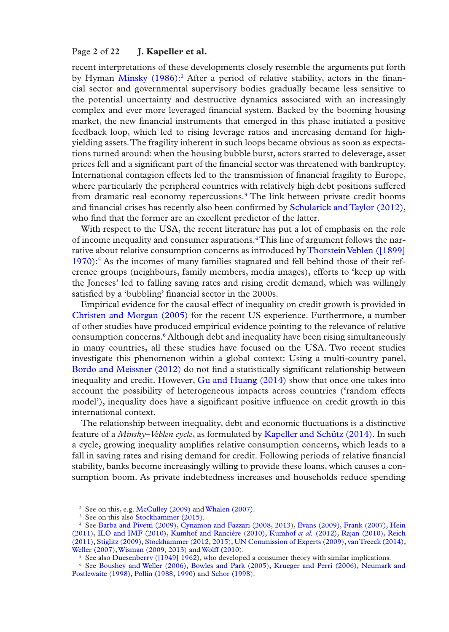### Page **2** of **22 J. Kapeller et al.**

recent interpretations of these developments closely resemble the arguments put forth by Hyman [Minsky \(1986\):](#page-20-2) [2](#page-1-0) After a period of relative stability, actors in the financial sector and governmental supervisory bodies gradually became less sensitive to the potential uncertainty and destructive dynamics associated with an increasingly complex and ever more leveraged financial system. Backed by the booming housing market, the new financial instruments that emerged in this phase initiated a positive feedback loop, which led to rising leverage ratios and increasing demand for highyielding assets. The fragility inherent in such loops became obvious as soon as expectations turned around: when the housing bubble burst, actors started to deleverage, asset prices fell and a significant part of the financial sector was threatened with bankruptcy. International contagion effects led to the transmission of financial fragility to Europe, where particularly the peripheral countries with relatively high debt positions suffered from dramatic real economy repercussions.[3](#page-1-1) The link between private credit booms and financial crises has recently also been confirmed by [Schularick and Taylor \(2012\)](#page-20-3), who find that the former are an excellent predictor of the latter.

With respect to the USA, the recent literature has put a lot of emphasis on the role of income inequality and consumer aspirations.[4](#page-1-2) This line of argument follows the narrative about relative consumption concerns as introduced by [Thorstein Veblen \(\[1899\]](#page-21-2)  [1970](#page-21-2)):[5](#page-1-3) As the incomes of many families stagnated and fell behind those of their reference groups (neighbours, family members, media images), efforts to 'keep up with the Joneses' led to falling saving rates and rising credit demand, which was willingly satisfied by a 'bubbling' financial sector in the 2000s.

Empirical evidence for the causal effect of inequality on credit growth is provided in [Christen and Morgan \(2005\)](#page-18-0) for the recent US experience. Furthermore, a number of other studies have produced empirical evidence pointing to the relevance of relative consumption concerns[.6](#page-1-4) Although debt and inequality have been rising simultaneously in many countries, all these studies have focused on the USA. Two recent studies investigate this phenomenon within a global context: Using a multi-country panel, [Bordo and Meissner \(2012\)](#page-18-1) do not find a statistically significant relationship between inequality and credit. However, [Gu and Huang \(2014\)](#page-19-0) show that once one takes into account the possibility of heterogeneous impacts across countries ('random effects model'), inequality does have a significant positive influence on credit growth in this international context.

The relationship between inequality, debt and economic fluctuations is a distinctive feature of a *Minsky*–*Veblen cycle*, as formulated by [Kapeller and Schütz \(2014\).](#page-19-1) In such a cycle, growing inequality amplifies relative consumption concerns, which leads to a fall in saving rates and rising demand for credit. Following periods of relative financial stability, banks become increasingly willing to provide these loans, which causes a consumption boom. As private indebtedness increases and households reduce spending

<span id="page-1-0"></span><sup>2</sup> See on this, e.g. [McCulley \(2009\)](#page-20-4) and [Whalen \(2007\)](#page-21-3).

<span id="page-1-2"></span><span id="page-1-1"></span><sup>&</sup>lt;sup>3</sup> See on this also [Stockhammer \(2015\)](#page-21-0).

<sup>4</sup> See [Barba and Pivetti \(2009\)](#page-18-2), [Cynamon and Fazzari \(2008](#page-19-2), [2013](#page-19-3)), [Evans \(2009\),](#page-19-4) [Frank \(2007\)](#page-19-5), [Hein](#page-19-6)  [\(2011\),](#page-19-6) [ILO and IMF \(2010\)](#page-19-7), [Kumhof and Rancière \(2010\),](#page-20-5) [Kumhof](#page-20-6) *et al.* (2012), [Rajan \(2010\)](#page-20-7), [Reich](#page-20-8)  [\(2011\),](#page-20-8) [Stiglitz \(2009\)](#page-21-4), [Stockhammer \(2012](#page-21-5), [2015\)](#page-21-0), [UN Commission of Experts \(2009\),](#page-21-6) [van Treeck \(2014\),](#page-21-7) [Weller \(2007\)](#page-21-8), [Wisman \(2009,](#page-21-9) [2013\)](#page-21-10) and [Wolff \(2010\).](#page-21-11)

<span id="page-1-4"></span><span id="page-1-3"></span><sup>&</sup>lt;sup>5</sup> See also [Duesenberry \(\[1949\] 1962\)](#page-19-8), who developed a consumer theory with similar implications.

<sup>6</sup> See [Boushey and Weller \(2006\)](#page-18-3), [Bowles and Park \(2005\)](#page-18-4), [Krueger and Perri \(2006\),](#page-20-9) [Neumark and](#page-20-10)  [Postlewaite \(1998\)](#page-20-10), [Pollin \(1988](#page-20-11), [1990](#page-20-12)) and [Schor \(1998\)](#page-20-13).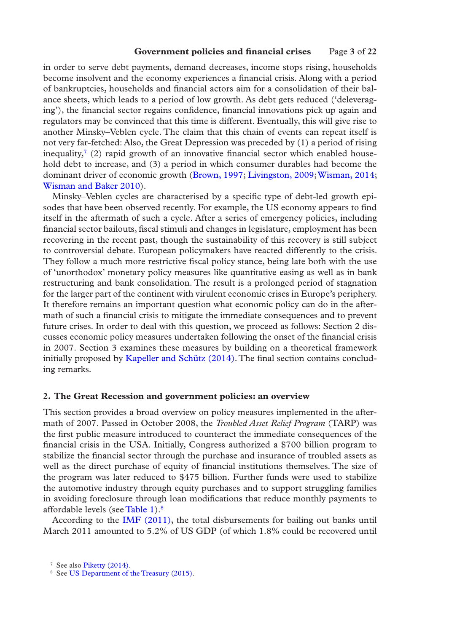### **Government policies and financial crises** Page **3** of **22**

in order to serve debt payments, demand decreases, income stops rising, households become insolvent and the economy experiences a financial crisis. Along with a period of bankruptcies, households and financial actors aim for a consolidation of their balance sheets, which leads to a period of low growth. As debt gets reduced ('deleveraging'), the financial sector regains confidence, financial innovations pick up again and regulators may be convinced that this time is different. Eventually, this will give rise to another Minsky–Veblen cycle. The claim that this chain of events can repeat itself is not very far-fetched: Also, the Great Depression was preceded by (1) a period of rising inequality, $\frac{7}{2}$  (2) rapid growth of an innovative financial sector which enabled household debt to increase, and (3) a period in which consumer durables had become the dominant driver of economic growth [\(Brown, 1997](#page-18-5); [Livingston, 2009](#page-20-14); [Wisman, 2014](#page-21-12); [Wisman and Baker 2010\)](#page-21-13).

Minsky–Veblen cycles are characterised by a specific type of debt-led growth episodes that have been observed recently. For example, the US economy appears to find itself in the aftermath of such a cycle. After a series of emergency policies, including financial sector bailouts, fiscal stimuli and changes in legislature, employment has been recovering in the recent past, though the sustainability of this recovery is still subject to controversial debate. European policymakers have reacted differently to the crisis. They follow a much more restrictive fiscal policy stance, being late both with the use of 'unorthodox' monetary policy measures like quantitative easing as well as in bank restructuring and bank consolidation. The result is a prolonged period of stagnation for the larger part of the continent with virulent economic crises in Europe's periphery. It therefore remains an important question what economic policy can do in the aftermath of such a financial crisis to mitigate the immediate consequences and to prevent future crises. In order to deal with this question, we proceed as follows: Section 2 discusses economic policy measures undertaken following the onset of the financial crisis in 2007. Section 3 examines these measures by building on a theoretical framework initially proposed by [Kapeller and Schütz \(2014\).](#page-19-1) The final section contains concluding remarks.

#### **2. The Great Recession and government policies: an overview**

This section provides a broad overview on policy measures implemented in the aftermath of 2007. Passed in October 2008, the *Troubled Asset Relief Program* (TARP) was the first public measure introduced to counteract the immediate consequences of the financial crisis in the USA. Initially, Congress authorized a \$700 billion program to stabilize the financial sector through the purchase and insurance of troubled assets as well as the direct purchase of equity of financial institutions themselves. The size of the program was later reduced to \$475 billion. Further funds were used to stabilize the automotive industry through equity purchases and to support struggling families in avoiding foreclosure through loan modifications that reduce monthly payments to affordable levels (see [Table 1\)](#page-3-0).[8](#page-2-1)

According to the [IMF \(2011\)](#page-19-9), the total disbursements for bailing out banks until March 2011 amounted to 5.2% of US GDP (of which 1.8% could be recovered until

<span id="page-2-0"></span><sup>7</sup> See also [Piketty \(2014\)](#page-20-15).

<span id="page-2-1"></span><sup>8</sup> See [US Department of the Treasury \(2015\).](#page-21-14)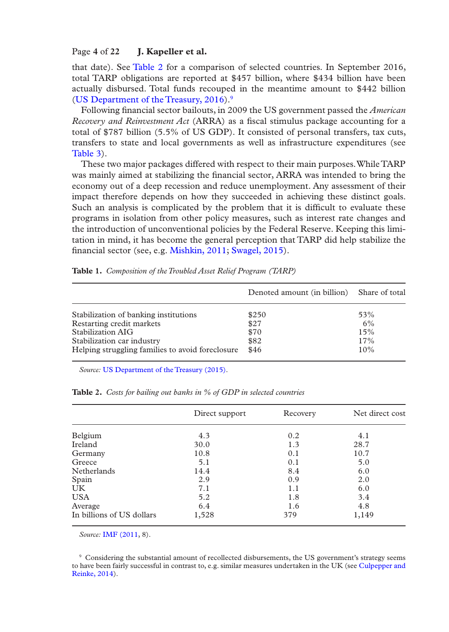#### Page **4** of **22 J. Kapeller et al.**

that date). See [Table 2](#page-3-1) for a comparison of selected countries. In September 2016, total TARP obligations are reported at \$457 billion, where \$434 billion have been actually disbursed. Total funds recouped in the meantime amount to \$442 billion ([US Department of the Treasury, 2016](#page-21-15)).[9](#page-3-2)

Following financial sector bailouts, in 2009 the US government passed the *American Recovery and Reinvestment Act* (ARRA) as a fiscal stimulus package accounting for a total of \$787 billion (5.5% of US GDP). It consisted of personal transfers, tax cuts, transfers to state and local governments as well as infrastructure expenditures (see [Table 3](#page-4-0)).

These two major packages differed with respect to their main purposes. While TARP was mainly aimed at stabilizing the financial sector, ARRA was intended to bring the economy out of a deep recession and reduce unemployment. Any assessment of their impact therefore depends on how they succeeded in achieving these distinct goals. Such an analysis is complicated by the problem that it is difficult to evaluate these programs in isolation from other policy measures, such as interest rate changes and the introduction of unconventional policies by the Federal Reserve. Keeping this limitation in mind, it has become the general perception that TARP did help stabilize the financial sector (see, e.g. [Mishkin, 2011;](#page-20-16) [Swagel, 2015\)](#page-21-16).

|                                                  | Denoted amount (in billion) Share of total |     |
|--------------------------------------------------|--------------------------------------------|-----|
| Stabilization of banking institutions            | \$250                                      | 53% |
| Restarting credit markets                        | \$27                                       | 6%  |
| Stabilization AIG                                | \$70                                       | 15% |
| Stabilization car industry                       | \$82                                       | 17% |
| Helping struggling families to avoid foreclosure | \$46                                       | 10% |

<span id="page-3-0"></span>**Table 1.** *Composition of the Troubled Asset Relief Program (TARP)*

*Source:* [US Department of the Treasury \(2015\)](#page-21-14).

|                           | Direct support | Recovery | Net direct cost |
|---------------------------|----------------|----------|-----------------|
| Belgium                   | 4.3            | 0.2      | 4.1             |
| Ireland                   | 30.0           | 1.3      | 28.7            |
| Germany                   | 10.8           | 0.1      | 10.7            |
| Greece                    | 5.1            | 0.1      | 5.0             |
| Netherlands               | 14.4           | 8.4      | 6.0             |
| Spain                     | 2.9            | 0.9      | 2.0             |
| UK.                       | 7.1            | 1.1      | 6.0             |
| <b>USA</b>                | 5.2            | 1.8      | 3.4             |
| Average                   | 6.4            | 1.6      | 4.8             |
| In billions of US dollars | 1,528          | 379      | 1,149           |

<span id="page-3-1"></span>**Table 2.** *Costs for bailing out banks in % of GDP in selected countries*

*Source:* [IMF \(2011,](#page-19-9) 8).

<span id="page-3-2"></span><sup>9</sup> Considering the substantial amount of recollected disbursements, the US government's strategy seems to have been fairly successful in contrast to, e.g. similar measures undertaken in the UK (see [Culpepper and](#page-19-10)  [Reinke, 2014\)](#page-19-10).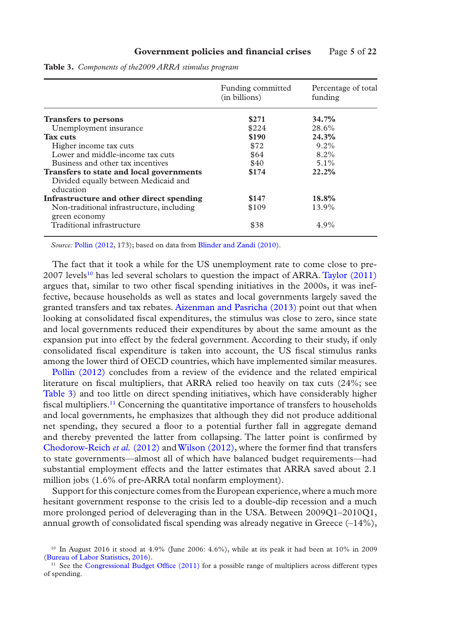|                                                            | Funding committed<br>(in billions) | Percentage of total<br>funding |
|------------------------------------------------------------|------------------------------------|--------------------------------|
| <b>Transfers to persons</b>                                | \$271                              | 34.7%                          |
| Unemployment insurance                                     | \$224                              | 28.6%                          |
| <b>Tax cuts</b>                                            | \$190                              | 24.3%                          |
| Higher income tax cuts                                     | \$72                               | $9.2\%$                        |
| Lower and middle-income tax cuts                           | \$64                               | $8.2\%$                        |
| Business and other tax incentives                          | \$40                               | $5.1\%$                        |
| Transfers to state and local governments                   | \$174                              | 22.2%                          |
| Divided equally between Medicaid and<br>education          |                                    |                                |
| Infrastructure and other direct spending                   | \$147                              | 18.8%                          |
| Non-traditional infrastructure, including<br>green economy | \$109                              | 13.9%                          |
| Traditional infrastructure                                 | \$38                               | 4.9%                           |

<span id="page-4-0"></span>**Table 3.** *Components of the2009 ARRA stimulus program*

*Source:* [Pollin \(2012](#page-20-17), 173); based on data from [Blinder and Zandi \(2010\)](#page-18-10).

The fact that it took a while for the US unemployment rate to come close to pre- $2007$  levels<sup>[10](#page-4-1)</sup> has led several scholars to question the impact of ARRA. [Taylor \(2011\)](#page-21-17) argues that, similar to two other fiscal spending initiatives in the 2000s, it was ineffective, because households as well as states and local governments largely saved the granted transfers and tax rebates. [Aizenman and Pasricha \(2013\)](#page-18-6) point out that when looking at consolidated fiscal expenditures, the stimulus was close to zero, since state and local governments reduced their expenditures by about the same amount as the expansion put into effect by the federal government. According to their study, if only consolidated fiscal expenditure is taken into account, the US fiscal stimulus ranks among the lower third of OECD countries, which have implemented similar measures.

[Pollin \(2012\)](#page-20-17) concludes from a review of the evidence and the related empirical literature on fiscal multipliers, that ARRA relied too heavily on tax cuts (24%; see [Table 3](#page-4-0)) and too little on direct spending initiatives, which have considerably higher fiscal multipliers.<sup>11</sup> Concerning the quantitative importance of transfers to households and local governments, he emphasizes that although they did not produce additional net spending, they secured a floor to a potential further fall in aggregate demand and thereby prevented the latter from collapsing. The latter point is confirmed by [Chodorow-Reich](#page-18-7) *et al.* (2012) and [Wilson \(2012\),](#page-21-18) where the former find that transfers to state governments—almost all of which have balanced budget requirements—had substantial employment effects and the latter estimates that ARRA saved about 2.1 million jobs (1.6% of pre-ARRA total nonfarm employment).

Support for this conjecture comes from the European experience, where a much more hesitant government response to the crisis led to a double-dip recession and a much more prolonged period of deleveraging than in the USA. Between 2009Q1–2010Q1, annual growth of consolidated fiscal spending was already negative in Greece  $(-14\%)$ ,

<span id="page-4-1"></span><sup>&</sup>lt;sup>10</sup> In August 2016 it stood at 4.9% (June 2006: 4.6%), while at its peak it had been at  $10\%$  in 2009 ([Bureau of Labor Statistics, 2016](#page-18-8)).

<span id="page-4-2"></span><sup>&</sup>lt;sup>11</sup> See the [Congressional Budget Office \(2011\)](#page-18-9) for a possible range of multipliers across different types of spending.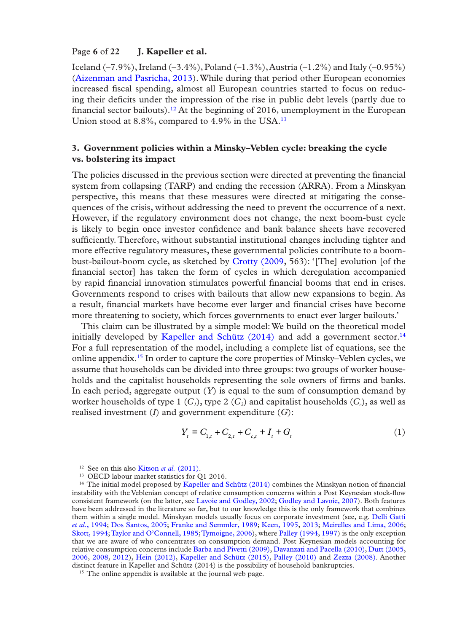#### Page **6** of **22 J. Kapeller et al.**

Iceland  $(-7.9\%)$ , Ireland  $(-3.4\%)$ , Poland  $(-1.3\%)$ , Austria  $(-1.2\%)$  and Italy  $(-0.95\%)$ ([Aizenman and Pasricha, 2013](#page-18-6)). While during that period other European economies increased fiscal spending, almost all European countries started to focus on reducing their deficits under the impression of the rise in public debt levels (partly due to financial sector bailouts).<sup>12</sup> At the beginning of 2016, unemployment in the European Union stood at 8.8%, compared to 4.9% in the USA.<sup>[13](#page-5-1)</sup>

# **3. Government policies within a Minsky–Veblen cycle: breaking the cycle vs. bolstering its impact**

The policies discussed in the previous section were directed at preventing the financial system from collapsing (TARP) and ending the recession (ARRA). From a Minskyan perspective, this means that these measures were directed at mitigating the consequences of the crisis, without addressing the need to prevent the occurrence of a next. However, if the regulatory environment does not change, the next boom-bust cycle is likely to begin once investor confidence and bank balance sheets have recovered sufficiently. Therefore, without substantial institutional changes including tighter and more effective regulatory measures, these governmental policies contribute to a boombust-bailout-boom cycle, as sketched by [Crotty \(2009,](#page-19-11) 563): '[The] evolution [of the financial sector] has taken the form of cycles in which deregulation accompanied by rapid financial innovation stimulates powerful financial booms that end in crises. Governments respond to crises with bailouts that allow new expansions to begin. As a result, financial markets have become ever larger and financial crises have become more threatening to society, which forces governments to enact ever larger bailouts.'

This claim can be illustrated by a simple model: We build on the theoretical model initially developed by Kapeller and Schütz  $(2014)$  and add a government sector.<sup>14</sup> For a full representation of the model, including a complete list of equations, see the online appendix[.15](#page-5-3) In order to capture the core properties of Minsky–Veblen cycles, we assume that households can be divided into three groups: two groups of worker households and the capitalist households representing the sole owners of firms and banks. In each period, aggregate output (*Y*) is equal to the sum of consumption demand by worker households of type 1  $(C<sub>i</sub>)$ , type 2  $(C<sub>i</sub>)$  and capitalist households  $(C<sub>i</sub>)$ , as well as realised investment (*I*) and government expenditure (*G*):

$$
Y_t = C_{1,t} + C_{2,t} + C_{c,t} + I_t + G_t
$$
 (1)

<span id="page-5-0"></span><sup>12</sup> See on this also [Kitson](#page-20-18) *et al.* (2011).

<sup>14</sup> The initial model proposed by [Kapeller and Schütz \(2014\)](#page-19-1) combines the Minskyan notion of financial instability with the Veblenian concept of relative consumption concerns within a Post Keynesian stock-flow consistent framework (on the latter, see [Lavoie and Godley, 2002;](#page-20-19) [Godley and Lavoie, 2007](#page-19-12)). Both features have been addressed in the literature so far, but to our knowledge this is the only framework that combines them within a single model. Minskyan models usually focus on corporate investment (see, e.g. [Delli Gatti](#page-19-13)  *et al.*[, 1994;](#page-19-13) [Dos Santos, 2005;](#page-19-14) [Franke and Semmler, 1989](#page-19-15); [Keen, 1995](#page-20-20), [2013;](#page-20-21) [Meirelles and Lima, 2006;](#page-20-22) [Skott, 1994](#page-20-23); [Taylor and O'Connell, 1985;](#page-21-19) [Tymoigne, 2006](#page-21-20)), where [Palley \(1994,](#page-20-24) [1997](#page-20-25)) is the only exception that we are aware of who concentrates on consumption demand. Post Keynesian models accounting for relative consumption concerns include [Barba and Pivetti \(2009\)](#page-18-2), [Davanzati and Pacella \(2010\),](#page-19-16) [Dutt \(2005,](#page-19-17) [2006,](#page-19-18) [2008](#page-19-19), [2012](#page-19-20)), [Hein \(2012\)](#page-19-21), [Kapeller and Schütz \(2015\)](#page-19-22), [Palley \(2010\)](#page-20-26) and [Zezza \(2008\).](#page-21-21) Another distinct feature in Kapeller and Schütz (2014) is the possibility of household bankruptcies.

<span id="page-5-3"></span><sup>15</sup> The online appendix is available at the journal web page.

<span id="page-5-2"></span><span id="page-5-1"></span><sup>&</sup>lt;sup>13</sup> OECD labour market statistics for Q1 2016.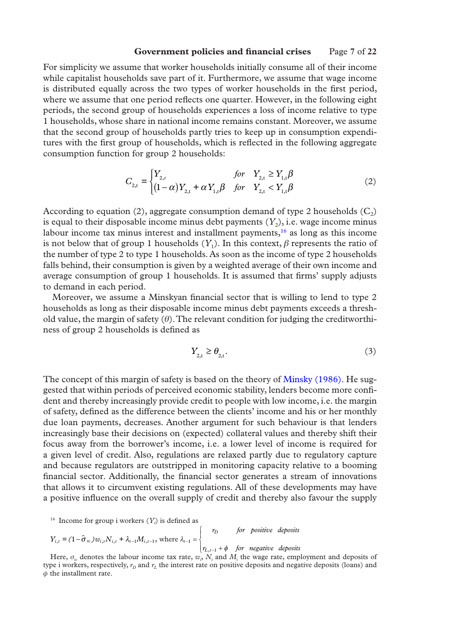#### **Government policies and financial crises** Page **7** of **22**

For simplicity we assume that worker households initially consume all of their income while capitalist households save part of it. Furthermore, we assume that wage income is distributed equally across the two types of worker households in the first period, where we assume that one period reflects one quarter. However, in the following eight periods, the second group of households experiences a loss of income relative to type 1 households, whose share in national income remains constant. Moreover, we assume that the second group of households partly tries to keep up in consumption expenditures with the first group of households, which is reflected in the following aggregate consumption function for group 2 households:

$$
C_{2,t} = \begin{cases} Y_{2,t} & \text{for} \quad Y_{2,t} \ge Y_{1,t} \beta \\ (1-\alpha)Y_{2,t} + \alpha Y_{1,t} \beta & \text{for} \quad Y_{2,t} < Y_{1,t} \beta \end{cases} \tag{2}
$$

According to equation (2), aggregate consumption demand of type 2 households  $(C_2)$ is equal to their disposable income minus debt payments  $(Y_2)$ , i.e. wage income minus labour income tax minus interest and installment payments, $16$  as long as this income is not below that of group 1 households  $(Y_1)$ . In this context,  $\beta$  represents the ratio of the number of type 2 to type 1 households. As soon as the income of type 2 households falls behind, their consumption is given by a weighted average of their own income and average consumption of group 1 households. It is assumed that firms' supply adjusts to demand in each period.

Moreover, we assume a Minskyan financial sector that is willing to lend to type 2 households as long as their disposable income minus debt payments exceeds a threshold value, the margin of safety  $(\theta)$ . The relevant condition for judging the creditworthiness of group 2 households is defined as

$$
Y_{2,t} \ge \theta_{2,t}.\tag{3}
$$

The concept of this margin of safety is based on the theory of [Minsky \(1986\).](#page-20-2) He suggested that within periods of perceived economic stability, lenders become more confident and thereby increasingly provide credit to people with low income, i.e. the margin of safety, defined as the difference between the clients' income and his or her monthly due loan payments, decreases. Another argument for such behaviour is that lenders increasingly base their decisions on (expected) collateral values and thereby shift their focus away from the borrower's income, i.e. a lower level of income is required for a given level of credit. Also, regulations are relaxed partly due to regulatory capture and because regulators are outstripped in monitoring capacity relative to a booming financial sector. Additionally, the financial sector generates a stream of innovations that allows it to circumvent existing regulations. All of these developments may have a positive influence on the overall supply of credit and thereby also favour the supply

```
Y_{i,t} = (1 - \hat{\sigma}_w) w_{i,t} N_{i,t} + \lambda_{t-1} M_{i,t-1}, where \lambda_tr^{-1} \bigg|_{r_{L,t-1} + \phi}D
                                                                                  _{L, t}r for positive deposits
                                                                        r for negative deposits
−
                                                                                      −
                                                                            =
                                                                                          +
                                                                               \sqrt{ }ļ
                                                                         ^{1-}<sub>\Big\vert_{r_{L,t-1}}</sub>
```
<span id="page-6-0"></span><sup>&</sup>lt;sup>16</sup> Income for group i workers  $(Y_i)$  is defined as

Here,  $\sigma_w$  denotes the labour income tax rate,  $w_i$ ,  $N_i$  and  $M_i$  the wage rate, employment and deposits of type i workers, respectively,  $r_D$  and  $r_L$  the interest rate on positive deposits and negative deposits (loans) and *ϕ* the installment rate.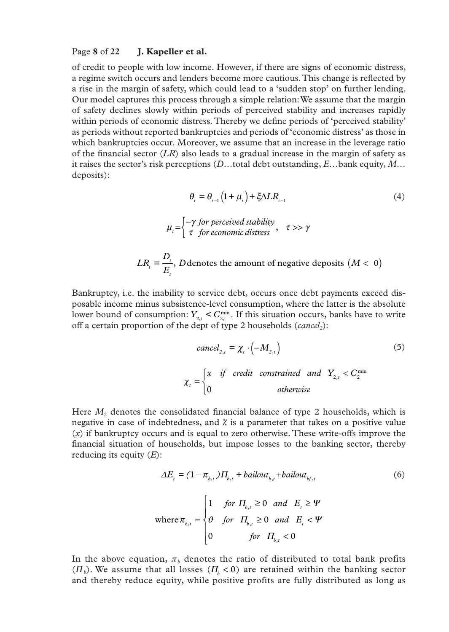### Page **8** of **22 J. Kapeller et al.**

of credit to people with low income. However, if there are signs of economic distress, a regime switch occurs and lenders become more cautious. This change is reflected by a rise in the margin of safety, which could lead to a 'sudden stop' on further lending. Our model captures this process through a simple relation: We assume that the margin of safety declines slowly within periods of perceived stability and increases rapidly within periods of economic distress. Thereby we define periods of 'perceived stability' as periods without reported bankruptcies and periods of 'economic distress' as those in which bankruptcies occur. Moreover, we assume that an increase in the leverage ratio of the financial sector (*LR*) also leads to a gradual increase in the margin of safety as it raises the sector's risk perceptions (*D*…total debt outstanding, *E*…bank equity, *M*… deposits):

$$
\theta_{i} = \theta_{i-1} \left( 1 + \mu_{i} \right) + \xi \Delta LR_{i-1}
$$
\n
$$
\mu_{i} = \begin{cases}\n-\gamma \text{ for perceived stability} \\
\tau \text{ for economic distances} \end{cases}, \quad \tau >> \gamma
$$
\n
$$
LR_{i} = \frac{D_{i}}{E_{i}}, \text{ D denotes the amount of negative deposits } (M < 0)
$$

Bankruptcy, i.e. the inability to service debt, occurs once debt payments exceed disposable income minus subsistence-level consumption, where the latter is the absolute lower bound of consumption:  $Y_{2,t} < C_{2,t}^{\min}$ . If this situation occurs, banks have to write off a certain proportion of the dept of type 2 households (*cancel*<sub>2</sub>):

*t*

$$
cancel_{2,t} = \chi_t \cdot \left(-M_{2,t}\right)
$$
\n
$$
\chi_t = \begin{cases}\n x & \text{if } credit \text{ constrained} \text{ and } Y_{2,t} < C_2^{\min} \\
 0 & \text{otherwise}\n\end{cases}
$$
\n
$$
(5)
$$

Here  $M<sub>2</sub>$  denotes the consolidated financial balance of type 2 households, which is negative in case of indebtedness, and  $\chi$  is a parameter that takes on a positive value (*x*) if bankruptcy occurs and is equal to zero otherwise. These write-offs improve the financial situation of households, but impose losses to the banking sector, thereby reducing its equity (*E*):

$$
\Delta E_{i} = (1 - \pi_{b,t}) \Pi_{b,t} + \text{bailout}_{b,t} + \text{bailout}_{b',t}
$$
\n
$$
\text{where } \pi_{b,t} = \begin{cases} 1 & \text{for } \Pi_{b,t} \ge 0 \text{ and } E_{t} \ge \Psi \\ \vartheta & \text{for } \Pi_{b,t} \ge 0 \text{ and } E_{t} < \Psi \\ 0 & \text{for } \Pi_{b,t} < 0 \end{cases} \tag{6}
$$

In the above equation,  $\pi_b$  denotes the ratio of distributed to total bank profits  $(\Pi_b)$ . We assume that all losses  $(\Pi_b < 0)$  are retained within the banking sector and thereby reduce equity, while positive profits are fully distributed as long as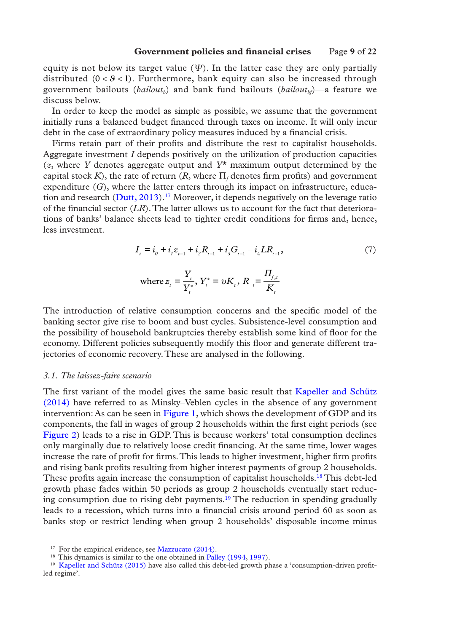equity is not below its target value  $(\Psi)$ . In the latter case they are only partially distributed  $(0 < \theta < 1)$ . Furthermore, bank equity can also be increased through government bailouts (*bailout<sub>b</sub>*) and bank fund bailouts (*bailout<sub>bt</sub>*)—a feature we discuss below.

In order to keep the model as simple as possible, we assume that the government initially runs a balanced budget financed through taxes on income. It will only incur debt in the case of extraordinary policy measures induced by a financial crisis.

Firms retain part of their profits and distribute the rest to capitalist households. Aggregate investment *I* depends positively on the utilization of production capacities (*z*, where *Y* denotes aggregate output and *Y*\* maximum output determined by the capital stock *K*), the rate of return (*R*, where  $\Pi_f$  denotes firm profits) and government expenditure  $(G)$ , where the latter enters through its impact on infrastructure, education and research (Dutt,  $2013$ ).<sup>17</sup> Moreover, it depends negatively on the leverage ratio of the financial sector (*LR*). The latter allows us to account for the fact that deteriorations of banks' balance sheets lead to tighter credit conditions for firms and, hence, less investment.

$$
I_{i} = i_{0} + i_{1}z_{i-1} + i_{2}R_{i-1} + i_{3}G_{i-1} - i_{4}LR_{i-1},
$$
\n
$$
\text{where } z_{i} = \frac{Y_{i}}{Y_{i}^{*}}, Y_{i}^{*} = vK_{i}, R_{i} = \frac{\prod_{j,i}}{K_{i}}
$$
\n
$$
(7)
$$

 $\sum_{t}$ ,  $\sum_{t}$   $\sum_{t}$ The introduction of relative consumption concerns and the specific model of the banking sector give rise to boom and bust cycles. Subsistence-level consumption and the possibility of household bankruptcies thereby establish some kind of floor for the economy. Different policies subsequently modify this floor and generate different tra-

jectories of economic recovery. These are analysed in the following.

#### *3.1. The laissez-faire scenario*

The first variant of the model gives the same basic result that [Kapeller and Schütz](#page-19-1)  [\(2014\)](#page-19-1) have referred to as Minsky–Veblen cycles in the absence of any government intervention: As can be seen in [Figure 1,](#page-9-0) which shows the development of GDP and its components, the fall in wages of group 2 households within the first eight periods (see [Figure 2\)](#page-9-1) leads to a rise in GDP. This is because workers' total consumption declines only marginally due to relatively loose credit financing. At the same time, lower wages increase the rate of profit for firms. This leads to higher investment, higher firm profits and rising bank profits resulting from higher interest payments of group 2 households. These profits again increase the consumption of capitalist households.[18](#page-8-1) This debt-led growth phase fades within 50 periods as group 2 households eventually start reducing consumption due to rising debt payments.[19](#page-8-2) The reduction in spending gradually leads to a recession, which turns into a financial crisis around period 60 as soon as banks stop or restrict lending when group 2 households' disposable income minus

<span id="page-8-0"></span><sup>&</sup>lt;sup>17</sup> For the empirical evidence, see [Mazzucato \(2014\).](#page-20-27)

<span id="page-8-2"></span><span id="page-8-1"></span><sup>&</sup>lt;sup>18</sup> This dynamics is similar to the one obtained in [Palley \(1994](#page-20-24), [1997](#page-20-25)).

<sup>19</sup> [Kapeller and Schütz \(2015\)](#page-19-22) have also called this debt-led growth phase a 'consumption-driven profitled regime'.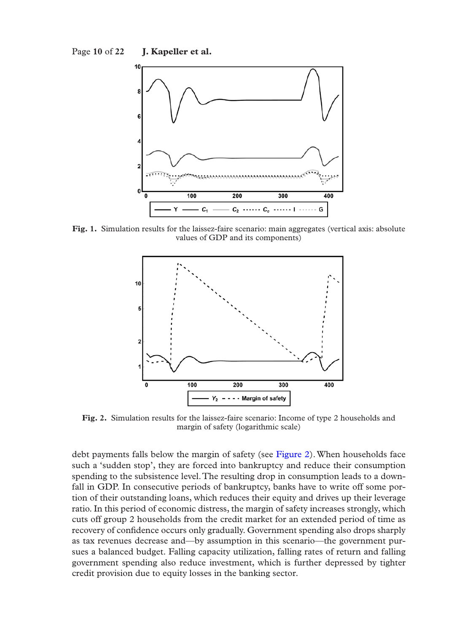



**Fig. 1.** Simulation results for the laissez-faire scenario: main aggregates (vertical axis: absolute values of GDP and its components)

<span id="page-9-0"></span>

<span id="page-9-1"></span>**Fig. 2.** Simulation results for the laissez-faire scenario: Income of type 2 households and margin of safety (logarithmic scale)

debt payments falls below the margin of safety (see [Figure 2](#page-9-1)). When households face such a 'sudden stop', they are forced into bankruptcy and reduce their consumption spending to the subsistence level. The resulting drop in consumption leads to a downfall in GDP. In consecutive periods of bankruptcy, banks have to write off some portion of their outstanding loans, which reduces their equity and drives up their leverage ratio. In this period of economic distress, the margin of safety increases strongly, which cuts off group 2 households from the credit market for an extended period of time as recovery of confidence occurs only gradually. Government spending also drops sharply as tax revenues decrease and—by assumption in this scenario—the government pursues a balanced budget. Falling capacity utilization, falling rates of return and falling government spending also reduce investment, which is further depressed by tighter credit provision due to equity losses in the banking sector.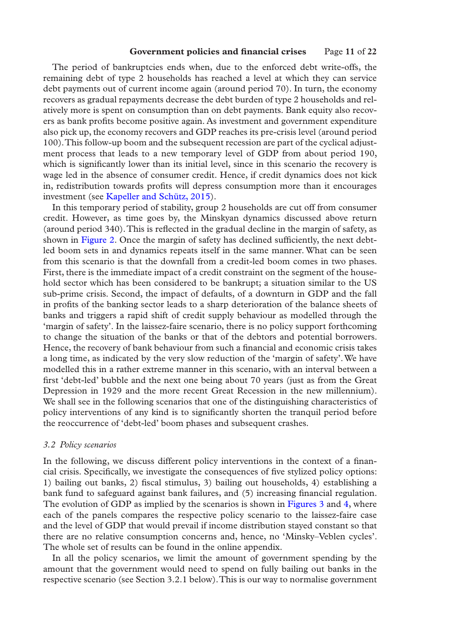#### **Government policies and financial crises** Page **11** of **22**

The period of bankruptcies ends when, due to the enforced debt write-offs, the remaining debt of type 2 households has reached a level at which they can service debt payments out of current income again (around period 70). In turn, the economy recovers as gradual repayments decrease the debt burden of type 2 households and relatively more is spent on consumption than on debt payments. Bank equity also recovers as bank profits become positive again. As investment and government expenditure also pick up, the economy recovers and GDP reaches its pre-crisis level (around period 100). This follow-up boom and the subsequent recession are part of the cyclical adjustment process that leads to a new temporary level of GDP from about period 190, which is significantly lower than its initial level, since in this scenario the recovery is wage led in the absence of consumer credit. Hence, if credit dynamics does not kick in, redistribution towards profits will depress consumption more than it encourages investment (see [Kapeller and Schütz, 2015\)](#page-19-22).

In this temporary period of stability, group 2 households are cut off from consumer credit. However, as time goes by, the Minskyan dynamics discussed above return (around period 340). This is reflected in the gradual decline in the margin of safety, as shown in [Figure 2](#page-9-1). Once the margin of safety has declined sufficiently, the next debtled boom sets in and dynamics repeats itself in the same manner. What can be seen from this scenario is that the downfall from a credit-led boom comes in two phases. First, there is the immediate impact of a credit constraint on the segment of the household sector which has been considered to be bankrupt; a situation similar to the US sub-prime crisis. Second, the impact of defaults, of a downturn in GDP and the fall in profits of the banking sector leads to a sharp deterioration of the balance sheets of banks and triggers a rapid shift of credit supply behaviour as modelled through the 'margin of safety'. In the laissez-faire scenario, there is no policy support forthcoming to change the situation of the banks or that of the debtors and potential borrowers. Hence, the recovery of bank behaviour from such a financial and economic crisis takes a long time, as indicated by the very slow reduction of the 'margin of safety'. We have modelled this in a rather extreme manner in this scenario, with an interval between a first 'debt-led' bubble and the next one being about 70 years (just as from the Great Depression in 1929 and the more recent Great Recession in the new millennium). We shall see in the following scenarios that one of the distinguishing characteristics of policy interventions of any kind is to significantly shorten the tranquil period before the reoccurrence of 'debt-led' boom phases and subsequent crashes.

### *3.2 Policy scenarios*

In the following, we discuss different policy interventions in the context of a financial crisis. Specifically, we investigate the consequences of five stylized policy options: 1) bailing out banks, 2) fiscal stimulus, 3) bailing out households, 4) establishing a bank fund to safeguard against bank failures, and (5) increasing financial regulation. The evolution of GDP as implied by the scenarios is shown in [Figures 3](#page-11-0) and [4,](#page-11-1) where each of the panels compares the respective policy scenario to the laissez-faire case and the level of GDP that would prevail if income distribution stayed constant so that there are no relative consumption concerns and, hence, no 'Minsky–Veblen cycles'. The whole set of results can be found in the online appendix.

In all the policy scenarios, we limit the amount of government spending by the amount that the government would need to spend on fully bailing out banks in the respective scenario (see Section 3.2.1 below). This is our way to normalise government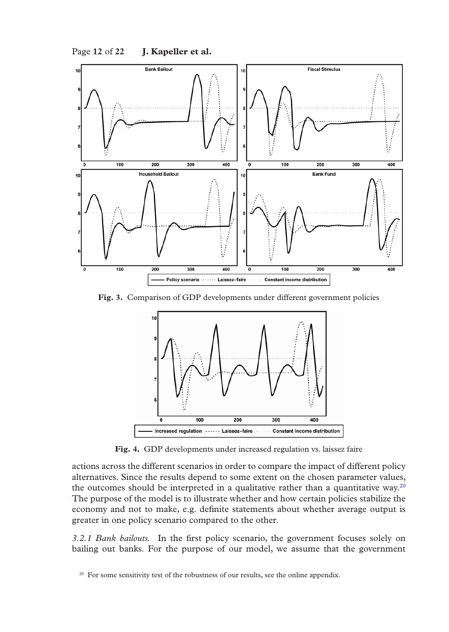

<span id="page-11-0"></span>**Fig. 3.** Comparison of GDP developments under different government policies



<span id="page-11-1"></span>**Fig. 4.** GDP developments under increased regulation vs. laissez faire

actions across the different scenarios in order to compare the impact of different policy alternatives. Since the results depend to some extent on the chosen parameter values, the outcomes should be interpreted in a qualitative rather than a quantitative way.<sup>20</sup> The purpose of the model is to illustrate whether and how certain policies stabilize the economy and not to make, e.g. definite statements about whether average output is greater in one policy scenario compared to the other.

*3.2.1 Bank bailouts.* In the first policy scenario, the government focuses solely on bailing out banks. For the purpose of our model, we assume that the government

<span id="page-11-2"></span><sup>&</sup>lt;sup>20</sup> For some sensitivity test of the robustness of our results, see the online appendix.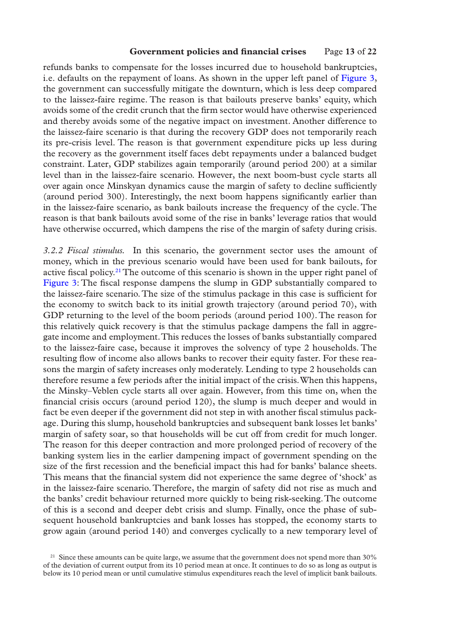#### **Government policies and financial crises** Page **13** of **22**

refunds banks to compensate for the losses incurred due to household bankruptcies, i.e. defaults on the repayment of loans. As shown in the upper left panel of [Figure 3](#page-11-0), the government can successfully mitigate the downturn, which is less deep compared to the laissez-faire regime. The reason is that bailouts preserve banks' equity, which avoids some of the credit crunch that the firm sector would have otherwise experienced and thereby avoids some of the negative impact on investment. Another difference to the laissez-faire scenario is that during the recovery GDP does not temporarily reach its pre-crisis level. The reason is that government expenditure picks up less during the recovery as the government itself faces debt repayments under a balanced budget constraint. Later, GDP stabilizes again temporarily (around period 200) at a similar level than in the laissez-faire scenario. However, the next boom-bust cycle starts all over again once Minskyan dynamics cause the margin of safety to decline sufficiently (around period 300). Interestingly, the next boom happens significantly earlier than in the laissez-faire scenario, as bank bailouts increase the frequency of the cycle. The reason is that bank bailouts avoid some of the rise in banks' leverage ratios that would have otherwise occurred, which dampens the rise of the margin of safety during crisis.

*3.2.2 Fiscal stimulus.* In this scenario, the government sector uses the amount of money, which in the previous scenario would have been used for bank bailouts, for active fiscal policy.<sup>21</sup> The outcome of this scenario is shown in the upper right panel of [Figure 3](#page-11-0): The fiscal response dampens the slump in GDP substantially compared to the laissez-faire scenario. The size of the stimulus package in this case is sufficient for the economy to switch back to its initial growth trajectory (around period 70), with GDP returning to the level of the boom periods (around period 100). The reason for this relatively quick recovery is that the stimulus package dampens the fall in aggregate income and employment. This reduces the losses of banks substantially compared to the laissez-faire case, because it improves the solvency of type 2 households. The resulting flow of income also allows banks to recover their equity faster. For these reasons the margin of safety increases only moderately. Lending to type 2 households can therefore resume a few periods after the initial impact of the crisis. When this happens, the Minsky–Veblen cycle starts all over again. However, from this time on, when the financial crisis occurs (around period 120), the slump is much deeper and would in fact be even deeper if the government did not step in with another fiscal stimulus package. During this slump, household bankruptcies and subsequent bank losses let banks' margin of safety soar, so that households will be cut off from credit for much longer. The reason for this deeper contraction and more prolonged period of recovery of the banking system lies in the earlier dampening impact of government spending on the size of the first recession and the beneficial impact this had for banks' balance sheets. This means that the financial system did not experience the same degree of 'shock' as in the laissez-faire scenario. Therefore, the margin of safety did not rise as much and the banks' credit behaviour returned more quickly to being risk-seeking. The outcome of this is a second and deeper debt crisis and slump. Finally, once the phase of subsequent household bankruptcies and bank losses has stopped, the economy starts to grow again (around period 140) and converges cyclically to a new temporary level of

<span id="page-12-0"></span><sup>&</sup>lt;sup>21</sup> Since these amounts can be quite large, we assume that the government does not spend more than 30% of the deviation of current output from its 10 period mean at once. It continues to do so as long as output is below its 10 period mean or until cumulative stimulus expenditures reach the level of implicit bank bailouts.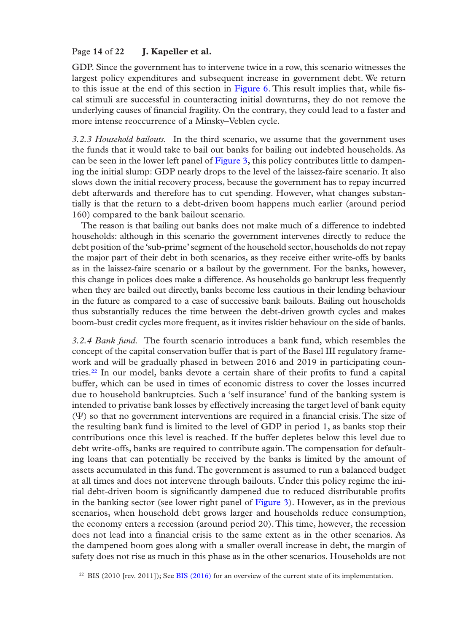# Page **14** of **22 J. Kapeller et al.**

GDP. Since the government has to intervene twice in a row, this scenario witnesses the largest policy expenditures and subsequent increase in government debt. We return to this issue at the end of this section in [Figure 6](#page-15-0). This result implies that, while fiscal stimuli are successful in counteracting initial downturns, they do not remove the underlying causes of financial fragility. On the contrary, they could lead to a faster and more intense reoccurrence of a Minsky–Veblen cycle.

*3.2.3 Household bailouts.* In the third scenario, we assume that the government uses the funds that it would take to bail out banks for bailing out indebted households. As can be seen in the lower left panel of [Figure 3](#page-11-0), this policy contributes little to dampening the initial slump: GDP nearly drops to the level of the laissez-faire scenario. It also slows down the initial recovery process, because the government has to repay incurred debt afterwards and therefore has to cut spending. However, what changes substantially is that the return to a debt-driven boom happens much earlier (around period 160) compared to the bank bailout scenario.

The reason is that bailing out banks does not make much of a difference to indebted households: although in this scenario the government intervenes directly to reduce the debt position of the 'sub-prime' segment of the household sector, households do not repay the major part of their debt in both scenarios, as they receive either write-offs by banks as in the laissez-faire scenario or a bailout by the government. For the banks, however, this change in polices does make a difference. As households go bankrupt less frequently when they are bailed out directly, banks become less cautious in their lending behaviour in the future as compared to a case of successive bank bailouts. Bailing out households thus substantially reduces the time between the debt-driven growth cycles and makes boom-bust credit cycles more frequent, as it invites riskier behaviour on the side of banks.

*3.2.4 Bank fund.* The fourth scenario introduces a bank fund, which resembles the concept of the capital conservation buffer that is part of the Basel III regulatory framework and will be gradually phased in between 2016 and 2019 in participating countries[.22](#page-13-0) In our model, banks devote a certain share of their profits to fund a capital buffer, which can be used in times of economic distress to cover the losses incurred due to household bankruptcies. Such a 'self insurance' fund of the banking system is intended to privatise bank losses by effectively increasing the target level of bank equity (Ψ) so that no government interventions are required in a financial crisis. The size of the resulting bank fund is limited to the level of GDP in period 1, as banks stop their contributions once this level is reached. If the buffer depletes below this level due to debt write-offs, banks are required to contribute again. The compensation for defaulting loans that can potentially be received by the banks is limited by the amount of assets accumulated in this fund. The government is assumed to run a balanced budget at all times and does not intervene through bailouts. Under this policy regime the initial debt-driven boom is significantly dampened due to reduced distributable profits in the banking sector (see lower right panel of [Figure 3\)](#page-11-0). However, as in the previous scenarios, when household debt grows larger and households reduce consumption, the economy enters a recession (around period 20). This time, however, the recession does not lead into a financial crisis to the same extent as in the other scenarios. As the dampened boom goes along with a smaller overall increase in debt, the margin of safety does not rise as much in this phase as in the other scenarios. Households are not

<span id="page-13-0"></span><sup>22</sup> BIS (2010 [rev. 2011]); See [BIS \(2016\)](#page-18-11) for an overview of the current state of its implementation.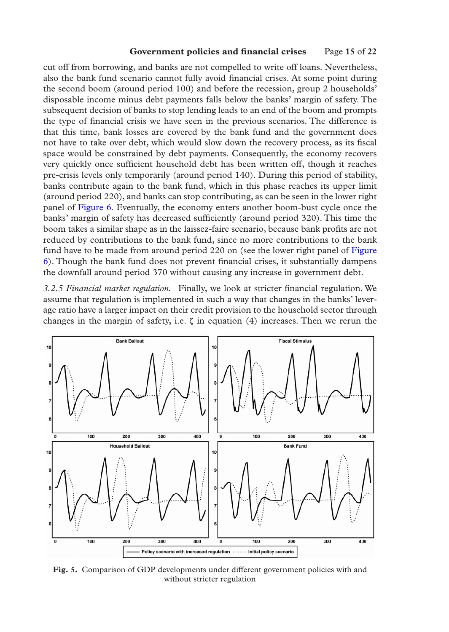#### **Government policies and financial crises** Page **15** of **22**

cut off from borrowing, and banks are not compelled to write off loans. Nevertheless, also the bank fund scenario cannot fully avoid financial crises. At some point during the second boom (around period 100) and before the recession, group 2 households' disposable income minus debt payments falls below the banks' margin of safety. The subsequent decision of banks to stop lending leads to an end of the boom and prompts the type of financial crisis we have seen in the previous scenarios. The difference is that this time, bank losses are covered by the bank fund and the government does not have to take over debt, which would slow down the recovery process, as its fiscal space would be constrained by debt payments. Consequently, the economy recovers very quickly once sufficient household debt has been written off, though it reaches pre-crisis levels only temporarily (around period 140). During this period of stability, banks contribute again to the bank fund, which in this phase reaches its upper limit (around period 220), and banks can stop contributing, as can be seen in the lower right panel of [Figure 6.](#page-15-0) Eventually, the economy enters another boom-bust cycle once the banks' margin of safety has decreased sufficiently (around period 320). This time the boom takes a similar shape as in the laissez-faire scenario, because bank profits are not reduced by contributions to the bank fund, since no more contributions to the bank fund have to be made from around period 220 on (see the lower right panel of [Figure](#page-15-0)  [6\)](#page-15-0). Though the bank fund does not prevent financial crises, it substantially dampens the downfall around period 370 without causing any increase in government debt.

*3.2.5 Financial market regulation.* Finally, we look at stricter financial regulation. We assume that regulation is implemented in such a way that changes in the banks' leverage ratio have a larger impact on their credit provision to the household sector through changes in the margin of safety, i.e. **ζ** in equation (4) increases. Then we rerun the



<span id="page-14-0"></span>**Fig. 5.** Comparison of GDP developments under different government policies with and without stricter regulation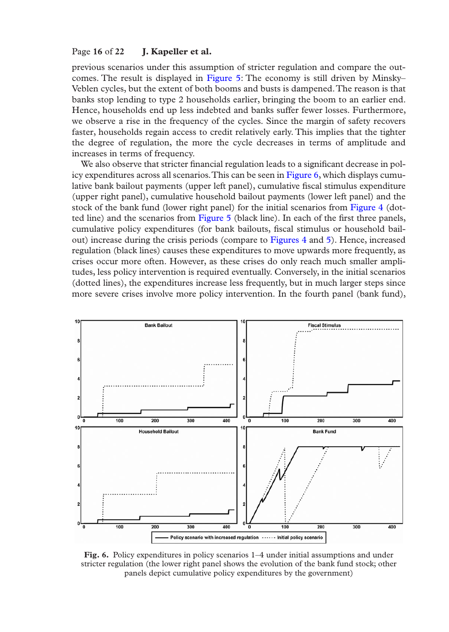# Page **16** of **22 J. Kapeller et al.**

previous scenarios under this assumption of stricter regulation and compare the outcomes. The result is displayed in [Figure 5:](#page-14-0) The economy is still driven by Minsky– Veblen cycles, but the extent of both booms and busts is dampened. The reason is that banks stop lending to type 2 households earlier, bringing the boom to an earlier end. Hence, households end up less indebted and banks suffer fewer losses. Furthermore, we observe a rise in the frequency of the cycles. Since the margin of safety recovers faster, households regain access to credit relatively early. This implies that the tighter the degree of regulation, the more the cycle decreases in terms of amplitude and increases in terms of frequency.

We also observe that stricter financial regulation leads to a significant decrease in policy expenditures across all scenarios. This can be seen in [Figure 6](#page-15-0), which displays cumulative bank bailout payments (upper left panel), cumulative fiscal stimulus expenditure (upper right panel), cumulative household bailout payments (lower left panel) and the stock of the bank fund (lower right panel) for the initial scenarios from [Figure 4](#page-11-1) (dotted line) and the scenarios from [Figure 5](#page-14-0) (black line). In each of the first three panels, cumulative policy expenditures (for bank bailouts, fiscal stimulus or household bailout) increase during the crisis periods (compare to [Figures 4](#page-11-1) and [5](#page-14-0)). Hence, increased regulation (black lines) causes these expenditures to move upwards more frequently, as crises occur more often. However, as these crises do only reach much smaller amplitudes, less policy intervention is required eventually. Conversely, in the initial scenarios (dotted lines), the expenditures increase less frequently, but in much larger steps since more severe crises involve more policy intervention. In the fourth panel (bank fund),



<span id="page-15-0"></span>**Fig. 6.** Policy expenditures in policy scenarios 1–4 under initial assumptions and under stricter regulation (the lower right panel shows the evolution of the bank fund stock; other panels depict cumulative policy expenditures by the government)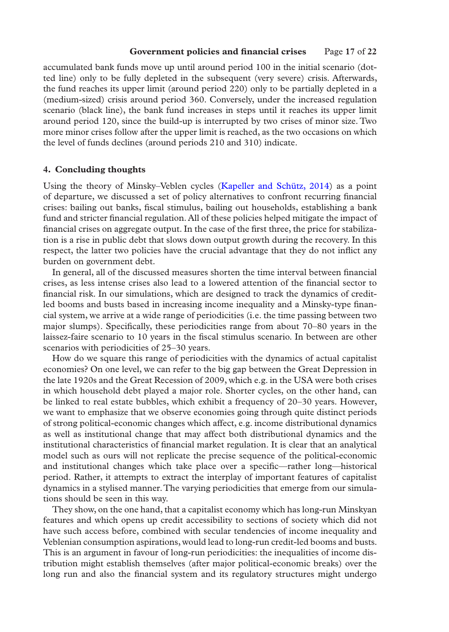#### **Government policies and financial crises** Page **17** of **22**

accumulated bank funds move up until around period 100 in the initial scenario (dotted line) only to be fully depleted in the subsequent (very severe) crisis. Afterwards, the fund reaches its upper limit (around period 220) only to be partially depleted in a (medium-sized) crisis around period 360. Conversely, under the increased regulation scenario (black line), the bank fund increases in steps until it reaches its upper limit around period 120, since the build-up is interrupted by two crises of minor size. Two more minor crises follow after the upper limit is reached, as the two occasions on which the level of funds declines (around periods 210 and 310) indicate.

#### **4. Concluding thoughts**

Using the theory of Minsky–Veblen cycles ([Kapeller and Schütz, 2014\)](#page-19-1) as a point of departure, we discussed a set of policy alternatives to confront recurring financial crises: bailing out banks, fiscal stimulus, bailing out households, establishing a bank fund and stricter financial regulation. All of these policies helped mitigate the impact of financial crises on aggregate output. In the case of the first three, the price for stabilization is a rise in public debt that slows down output growth during the recovery. In this respect, the latter two policies have the crucial advantage that they do not inflict any burden on government debt.

In general, all of the discussed measures shorten the time interval between financial crises, as less intense crises also lead to a lowered attention of the financial sector to financial risk. In our simulations, which are designed to track the dynamics of creditled booms and busts based in increasing income inequality and a Minsky-type financial system, we arrive at a wide range of periodicities (i.e. the time passing between two major slumps). Specifically, these periodicities range from about 70–80 years in the laissez-faire scenario to 10 years in the fiscal stimulus scenario. In between are other scenarios with periodicities of 25–30 years.

How do we square this range of periodicities with the dynamics of actual capitalist economies? On one level, we can refer to the big gap between the Great Depression in the late 1920s and the Great Recession of 2009, which e.g. in the USA were both crises in which household debt played a major role. Shorter cycles, on the other hand, can be linked to real estate bubbles, which exhibit a frequency of 20–30 years. However, we want to emphasize that we observe economies going through quite distinct periods of strong political-economic changes which affect, e.g. income distributional dynamics as well as institutional change that may affect both distributional dynamics and the institutional characteristics of financial market regulation. It is clear that an analytical model such as ours will not replicate the precise sequence of the political-economic and institutional changes which take place over a specific—rather long—historical period. Rather, it attempts to extract the interplay of important features of capitalist dynamics in a stylised manner. The varying periodicities that emerge from our simulations should be seen in this way.

They show, on the one hand, that a capitalist economy which has long-run Minskyan features and which opens up credit accessibility to sections of society which did not have such access before, combined with secular tendencies of income inequality and Veblenian consumption aspirations, would lead to long-run credit-led booms and busts. This is an argument in favour of long-run periodicities: the inequalities of income distribution might establish themselves (after major political-economic breaks) over the long run and also the financial system and its regulatory structures might undergo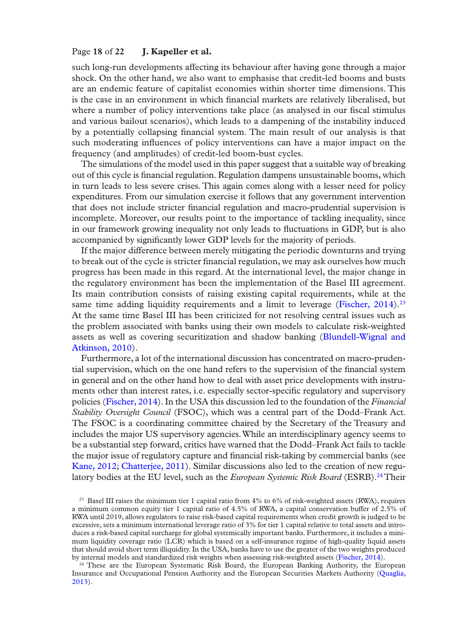# Page **18** of **22 J. Kapeller et al.**

such long-run developments affecting its behaviour after having gone through a major shock. On the other hand, we also want to emphasise that credit-led booms and busts are an endemic feature of capitalist economies within shorter time dimensions. This is the case in an environment in which financial markets are relatively liberalised, but where a number of policy interventions take place (as analysed in our fiscal stimulus and various bailout scenarios), which leads to a dampening of the instability induced by a potentially collapsing financial system. The main result of our analysis is that such moderating influences of policy interventions can have a major impact on the frequency (and amplitudes) of credit-led boom-bust cycles.

The simulations of the model used in this paper suggest that a suitable way of breaking out of this cycle is financial regulation. Regulation dampens unsustainable booms, which in turn leads to less severe crises. This again comes along with a lesser need for policy expenditures. From our simulation exercise it follows that any government intervention that does not include stricter financial regulation and macro-prudential supervision is incomplete. Moreover, our results point to the importance of tackling inequality, since in our framework growing inequality not only leads to fluctuations in GDP, but is also accompanied by significantly lower GDP levels for the majority of periods.

If the major difference between merely mitigating the periodic downturns and trying to break out of the cycle is stricter financial regulation, we may ask ourselves how much progress has been made in this regard. At the international level, the major change in the regulatory environment has been the implementation of the Basel III agreement. Its main contribution consists of raising existing capital requirements, while at the same time adding liquidity requirements and a limit to leverage (Fischer,  $2014$ ).<sup>23</sup> At the same time Basel III has been criticized for not resolving central issues such as the problem associated with banks using their own models to calculate risk-weighted assets as well as covering securitization and shadow banking ([Blundell-Wignal and](#page-18-12)  [Atkinson, 2010\)](#page-18-12).

Furthermore, a lot of the international discussion has concentrated on macro-prudential supervision, which on the one hand refers to the supervision of the financial system in general and on the other hand how to deal with asset price developments with instruments other than interest rates, i.e. especially sector-specific regulatory and supervisory policies ([Fischer, 2014](#page-19-24)). In the USA this discussion led to the foundation of the *Financial Stability Oversight Council* (FSOC), which was a central part of the Dodd–Frank Act. The FSOC is a coordinating committee chaired by the Secretary of the Treasury and includes the major US supervisory agencies. While an interdisciplinary agency seems to be a substantial step forward, critics have warned that the Dodd–Frank Act fails to tackle the major issue of regulatory capture and financial risk-taking by commercial banks (see [Kane, 2012;](#page-19-25) [Chatterjee, 2011\)](#page-18-13). Similar discussions also led to the creation of new regulatory bodies at the EU level, such as the *European Systemic Risk Board* (ESRB).<sup>[24](#page-17-1)</sup> Their

<span id="page-17-0"></span><sup>&</sup>lt;sup>23</sup> Basel III raises the minimum tier 1 capital ratio from  $4\%$  to  $6\%$  of risk-weighted assets (RWA), requires a minimum common equity tier 1 capital ratio of 4.5% of RWA, a capital conservation buffer of 2.5% of RWA until 2019, allows regulators to raise risk-based capital requirements when credit growth is judged to be excessive, sets a minimum international leverage ratio of 3% for tier 1 capital relative to total assets and introduces a risk-based capital surcharge for global systemically important banks. Furthermore, it includes a minimum liquidity coverage ratio (LCR) which is based on a self-insurance regime of high-quality liquid assets that should avoid short term illiquidity. In the USA, banks have to use the greater of the two weights produced by internal models and standardized risk weights when assessing risk-weighted assets [\(Fischer, 2014](#page-19-24)).

<span id="page-17-1"></span><sup>&</sup>lt;sup>24</sup> These are the European Systematic Risk Board, the European Banking Authority, the European Insurance and Occupational Pension Authority and the European Securities Markets Authority ([Quaglia,](#page-20-28)  [2013\)](#page-20-28).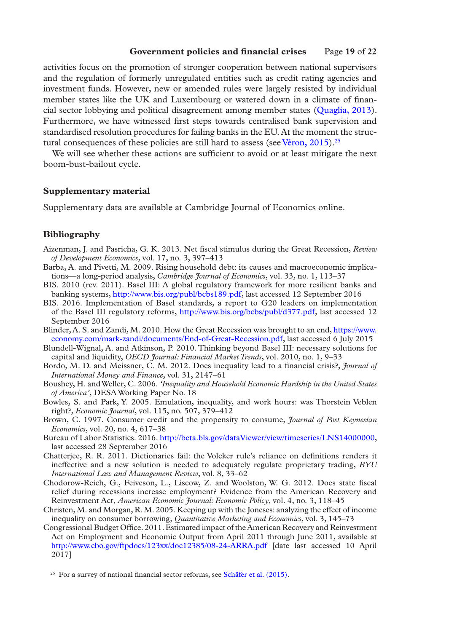#### **Government policies and financial crises** Page **19** of **22**

activities focus on the promotion of stronger cooperation between national supervisors and the regulation of formerly unregulated entities such as credit rating agencies and investment funds. However, new or amended rules were largely resisted by individual member states like the UK and Luxembourg or watered down in a climate of financial sector lobbying and political disagreement among member states [\(Quaglia, 2013\)](#page-20-28). Furthermore, we have witnessed first steps towards centralised bank supervision and standardised resolution procedures for failing banks in the EU. At the moment the struc-tural consequences of these policies are still hard to assess (see [Véron, 2015](#page-21-22)).<sup>25</sup>

We will see whether these actions are sufficient to avoid or at least mitigate the next boom-bust-bailout cycle.

#### **Supplementary material**

Supplementary data are available at Cambridge Journal of Economics online.

# **Bibliography**

- <span id="page-18-6"></span>Aizenman, J. and Pasricha, G. K. 2013. Net fiscal stimulus during the Great Recession, *Review of Development Economics*, vol. 17, no. 3, 397–413
- <span id="page-18-2"></span>Barba, A. and Pivetti, M. 2009. Rising household debt: its causes and macroeconomic implications—a long-period analysis, *Cambridge Journal of Economics*, vol. 33, no. 1, 113–37
- BIS. 2010 (rev. 2011). Basel III: A global regulatory framework for more resilient banks and banking systems,<http://www.bis.org/publ/bcbs189.pdf>, last accessed 12 September 2016
- <span id="page-18-11"></span>BIS. 2016. Implementation of Basel standards, a report to G20 leaders on implementation of the Basel III regulatory reforms, <http://www.bis.org/bcbs/publ/d377.pdf>, last accessed 12 September 2016
- <span id="page-18-10"></span>Blinder, A. S. and Zandi, M. 2010. How the Great Recession was brought to an end, [https://www.](https://www.economy.com/mark-zandi/documents/End-of-Great-Recession.pdf) [economy.com/mark-zandi/documents/End-of-Great-Recession.pdf](https://www.economy.com/mark-zandi/documents/End-of-Great-Recession.pdf), last accessed 6 July 2015
- <span id="page-18-12"></span>Blundell-Wignal, A. and Atkinson, P. 2010. Thinking beyond Basel III: necessary solutions for capital and liquidity, *OECD Journal: Financial Market Trends*, vol. 2010, no. 1, 9–33
- <span id="page-18-1"></span>Bordo, M. D. and Meissner, C. M. 2012. Does inequality lead to a financial crisis?, *Journal of International Money and Finance*, vol. 31, 2147–61
- <span id="page-18-3"></span>Boushey, H. and Weller, C. 2006. *'Inequality and Household Economic Hardship in the United States of America'*, DESA Working Paper No. 18
- <span id="page-18-4"></span>Bowles, S. and Park, Y. 2005. Emulation, inequality, and work hours: was Thorstein Veblen right?, *Economic Journal*, vol. 115, no. 507, 379–412
- <span id="page-18-5"></span>Brown, C. 1997. Consumer credit and the propensity to consume, *Journal of Post Keynesian Economics*, vol. 20, no. 4, 617–38
- <span id="page-18-8"></span>Bureau of Labor Statistics. 2016. [http://beta.bls.gov/dataViewer/view/timeseries/LNS14000000,](http://beta.bls.gov/dataViewer/view/timeseries/LNS14000000) last accessed 28 September 2016
- <span id="page-18-13"></span>Chatterjee, R. R. 2011. Dictionaries fail: the Volcker rule's reliance on definitions renders it ineffective and a new solution is needed to adequately regulate proprietary trading, *BYU International Law and Management Review*, vol. 8, 33–62
- <span id="page-18-7"></span>Chodorow-Reich, G., Feiveson, L., Liscow, Z. and Woolston, W. G. 2012. Does state fiscal relief during recessions increase employment? Evidence from the American Recovery and Reinvestment Act, *American Economic Journal: Economic Policy*, vol. 4, no. 3, 118–45
- <span id="page-18-0"></span>Christen, M. and Morgan, R. M. 2005. Keeping up with the Joneses: analyzing the effect of income inequality on consumer borrowing, *Quantitative Marketing and Economics*, vol. 3, 145–73
- <span id="page-18-9"></span>Congressional Budget Office. 2011. Estimated impact of the American Recovery and Reinvestment Act on Employment and Economic Output from April 2011 through June 2011, available at [http://www.cbo.gov/ftpdocs/123xx/doc12385/08-24-ARRA.pdf](http://www.cbo.gov/ftpdocs/123xx/doc12385/08-24-ARRA.pdf﻿) [date last accessed 10 April 2017]

<span id="page-18-14"></span><sup>25</sup> For a survey of national financial sector reforms, see [Schäfer et al. \(2015\)](#page-20-29).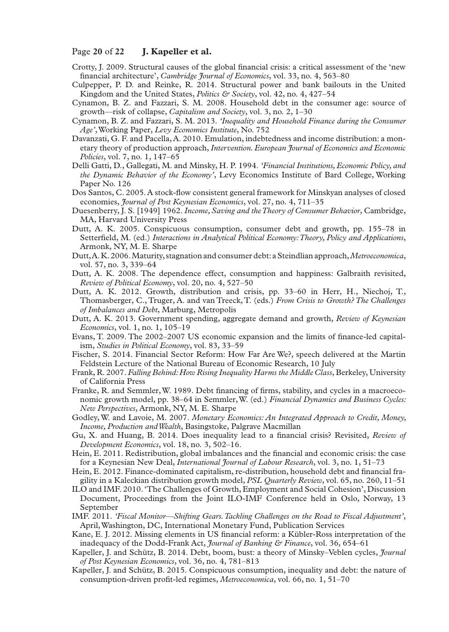#### Page **20** of **22 J. Kapeller et al.**

- <span id="page-19-11"></span>Crotty, J. 2009. Structural causes of the global financial crisis: a critical assessment of the 'new financial architecture', *Cambridge Journal of Economics*, vol. 33, no. 4, 563–80
- <span id="page-19-10"></span>Culpepper, P. D. and Reinke, R. 2014. Structural power and bank bailouts in the United Kingdom and the United States, *Politics & Society*, vol. 42, no. 4, 427–54
- <span id="page-19-2"></span>Cynamon, B. Z. and Fazzari, S. M. 2008. Household debt in the consumer age: source of growth—risk of collapse, *Capitalism and Society*, vol. 3, no. 2, 1–30
- <span id="page-19-3"></span>Cynamon, B. Z. and Fazzari, S. M. 2013. *'Inequality and Household Finance during the Consumer Age'*, Working Paper, *Levy Economics Institute*, No. 752
- <span id="page-19-16"></span>Davanzati, G. F. and Pacella, A. 2010. Emulation, indebtedness and income distribution: a monetary theory of production approach, *Intervention. European Journal of Economics and Economic Policies*, vol. 7, no. 1, 147–65
- <span id="page-19-13"></span>Delli Gatti, D., Gallegati, M. and Minsky, H. P. 1994. *'Financial Institutions, Economic Policy, and the Dynamic Behavior of the Economy'*, Levy Economics Institute of Bard College, Working Paper No. 126
- <span id="page-19-14"></span>Dos Santos, C. 2005. A stock-flow consistent general framework for Minskyan analyses of closed economies, *Journal of Post Keynesian Economics*, vol. 27, no. 4, 711–35
- <span id="page-19-8"></span>Duesenberry, J. S. [1949] 1962. *Income, Saving and the Theory of Consumer Behavior*, Cambridge, MA, Harvard University Press
- <span id="page-19-17"></span>Dutt, A. K. 2005. Conspicuous consumption, consumer debt and growth, pp. 155–78 in Setterfield, M. (ed.) *Interactions in Analytical Political Economy: Theory, Policy and Applications*, Armonk, NY, M. E. Sharpe
- <span id="page-19-18"></span>Dutt, A. K. 2006. Maturity, stagnation and consumer debt: a Steindlian approach, *Metroeconomica*, vol. 57, no. 3, 339–64
- <span id="page-19-19"></span>Dutt, A. K. 2008. The dependence effect, consumption and happiness: Galbraith revisited, *Review of Political Economy*, vol. 20, no. 4, 527–50
- <span id="page-19-20"></span>Dutt, A. K. 2012. Growth, distribution and crisis, pp. 33–60 in Herr, H., Niechoj, T., Thomasberger, C., Truger, A. and van Treeck, T. (eds.) *From Crisis to Growth? The Challenges of Imbalances and Debt*, Marburg, Metropolis
- <span id="page-19-23"></span>Dutt, A. K. 2013. Government spending, aggregate demand and growth, *Review of Keynesian Economics*, vol. 1, no. 1, 105–19
- <span id="page-19-4"></span>Evans, T. 2009. The 2002–2007 US economic expansion and the limits of finance-led capitalism, *Studies in Political Economy*, vol. 83, 33–59
- <span id="page-19-24"></span>Fischer, S. 2014. Financial Sector Reform: How Far Are We?, speech delivered at the Martin Feldstein Lecture of the National Bureau of Economic Research, 10 July
- <span id="page-19-5"></span>Frank, R. 2007. *Falling Behind: How Rising Inequality Harms the Middle Class*, Berkeley, University of California Press
- <span id="page-19-15"></span>Franke, R. and Semmler, W. 1989. Debt financing of firms, stability, and cycles in a macroeconomic growth model, pp. 38–64 in Semmler, W. (ed.) *Financial Dynamics and Business Cycles: New Perspectives*, Armonk, NY, M. E. Sharpe
- <span id="page-19-12"></span>Godley, W. and Lavoie, M. 2007. *Monetary Economics: An Integrated Approach to Credit, Money, Income, Production and Wealth*, Basingstoke, Palgrave Macmillan
- <span id="page-19-0"></span>Gu, X. and Huang, B. 2014. Does inequality lead to a financial crisis? Revisited, *Review of Development Economics*, vol. 18, no. 3, 502–16.
- <span id="page-19-6"></span>Hein, E. 2011. Redistribution, global imbalances and the financial and economic crisis: the case for a Keynesian New Deal, *International Journal of Labour Research*, vol. 3, no. 1, 51–73
- <span id="page-19-21"></span>Hein, E. 2012. Finance-dominated capitalism, re-distribution, household debt and financial fragility in a Kaleckian distribution growth model, *PSL Quarterly Review*, vol. 65, no. 260, 11–51
- <span id="page-19-7"></span>ILO and IMF. 2010. 'The Challenges of Growth, Employment and Social Cohesion', Discussion Document, Proceedings from the Joint ILO-IMF Conference held in Oslo, Norway, 13 September
- <span id="page-19-9"></span>IMF. 2011. *'Fiscal Monitor—Shifting Gears. Tackling Challenges on the Road to Fiscal Adjustment'*, April, Washington, DC, International Monetary Fund, Publication Services
- <span id="page-19-25"></span>Kane, E. J. 2012. Missing elements in US financial reform: a Kübler-Ross interpretation of the inadequacy of the Dodd-Frank Act, *Journal of Banking & Finance*, vol. 36, 654–61
- <span id="page-19-1"></span>Kapeller, J. and Schütz, B. 2014. Debt, boom, bust: a theory of Minsky–Veblen cycles, *Journal of Post Keynesian Economics*, vol. 36, no. 4, 781–813
- <span id="page-19-22"></span>Kapeller, J. and Schütz, B. 2015. Conspicuous consumption, inequality and debt: the nature of consumption-driven profit-led regimes, *Metroeconomica*, vol. 66, no. 1, 51–70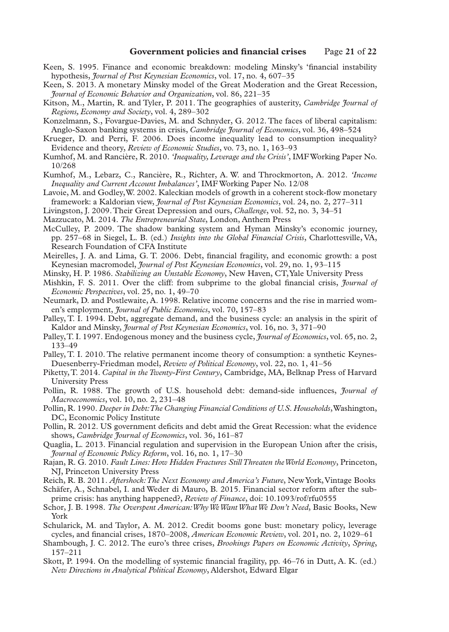- <span id="page-20-20"></span>Keen, S. 1995. Finance and economic breakdown: modeling Minsky's 'financial instability hypothesis, *Journal of Post Keynesian Economics*, vol. 17, no. 4, 607–35
- <span id="page-20-21"></span>Keen, S. 2013. A monetary Minsky model of the Great Moderation and the Great Recession, *Journal of Economic Behavior and Organization*, vol. 86, 221–35
- <span id="page-20-18"></span>Kitson, M., Martin, R. and Tyler, P. 2011. The geographies of austerity, *Cambridge Journal of Regions, Economy and Society*, vol. 4, 289–302
- <span id="page-20-1"></span>Konzelmann, S., Fovargue-Davies, M. and Schnyder, G. 2012. The faces of liberal capitalism: Anglo-Saxon banking systems in crisis, *Cambridge Journal of Economics*, vol. 36, 498–524
- <span id="page-20-9"></span>Krueger, D. and Perri, F. 2006. Does income inequality lead to consumption inequality? Evidence and theory, *Review of Economic Studies*, vo. 73, no. 1, 163–93
- <span id="page-20-5"></span>Kumhof, M. and Rancière, R. 2010. *'Inequality, Leverage and the Crisis'*, IMF Working Paper No. 10/268
- <span id="page-20-6"></span>Kumhof, M., Lebarz, C., Rancière, R., Richter, A. W. and Throckmorton, A. 2012. *'Income Inequality and Current Account Imbalances'*, IMF Working Paper No. 12/08
- <span id="page-20-19"></span>Lavoie, M. and Godley, W. 2002. Kaleckian models of growth in a coherent stock-flow monetary framework: a Kaldorian view, *Journal of Post Keynesian Economics*, vol. 24, no. 2, 277–311
- <span id="page-20-14"></span>Livingston, J. 2009. Their Great Depression and ours, *Challenge*, vol. 52, no. 3, 34–51
- <span id="page-20-27"></span>Mazzucato, M. 2014. *The Entrepreneurial State*, London, Anthem Press
- <span id="page-20-4"></span>McCulley, P. 2009. The shadow banking system and Hyman Minsky's economic journey, pp. 257–68 in Siegel, L. B. (ed.) *Insights into the Global Financial Crisis*, Charlottesville, VA, Research Foundation of CFA Institute
- <span id="page-20-22"></span>Meirelles, J. A. and Lima, G. T. 2006. Debt, financial fragility, and economic growth: a post Keynesian macromodel, *Journal of Post Keynesian Economics*, vol. 29, no. 1, 93–115
- <span id="page-20-2"></span>Minsky, H. P. 1986. *Stabilizing an Unstable Economy*, New Haven, CT, Yale University Press
- <span id="page-20-16"></span>Mishkin, F. S. 2011. Over the cliff: from subprime to the global financial crisis, *Journal of Economic Perspectives*, vol. 25, no. 1, 49–70
- <span id="page-20-10"></span>Neumark, D. and Postlewaite, A. 1998. Relative income concerns and the rise in married women's employment, *Journal of Public Economics*, vol. 70, 157–83
- <span id="page-20-24"></span>Palley, T. I. 1994. Debt, aggregate demand, and the business cycle: an analysis in the spirit of Kaldor and Minsky, *Journal of Post Keynesian Economics*, vol. 16, no. 3, 371–90
- <span id="page-20-25"></span>Palley, T. I. 1997. Endogenous money and the business cycle, *Journal of Economics*, vol. 65, no. 2, 133–49
- <span id="page-20-26"></span>Palley, T. I. 2010. The relative permanent income theory of consumption: a synthetic Keynes-Duesenberry-Friedman model, *Review of Political Economy*, vol. 22, no. 1, 41–56
- <span id="page-20-15"></span>Piketty, T. 2014. *Capital in the Twenty-First Century*, Cambridge, MA, Belknap Press of Harvard University Press
- <span id="page-20-11"></span>Pollin, R. 1988. The growth of U.S. household debt: demand-side influences, *Journal of Macroeconomics*, vol. 10, no. 2, 231–48
- <span id="page-20-12"></span>Pollin, R. 1990. *Deeper in Debt: The Changing Financial Conditions of U.S. Households*, Washington, DC, Economic Policy Institute
- <span id="page-20-17"></span>Pollin, R. 2012. US government deficits and debt amid the Great Recession: what the evidence shows, *Cambridge Journal of Economics*, vol. 36, 161–87
- <span id="page-20-28"></span>Quaglia, L. 2013. Financial regulation and supervision in the European Union after the crisis, *Journal of Economic Policy Reform*, vol. 16, no. 1, 17–30
- <span id="page-20-7"></span>Rajan, R. G. 2010. *Fault Lines: How Hidden Fractures Still Threaten the World Economy*, Princeton, NJ, Princeton University Press
- <span id="page-20-8"></span>Reich, R. B. 2011. *Aftershock: The Next Economy and America's Future*, New York, Vintage Books
- <span id="page-20-29"></span>Schäfer, A., Schnabel, I. and Weder di Mauro, B. 2015. Financial sector reform after the subprime crisis: has anything happened?, *Review of Finance*, doi: 10.1093/rof/rfu0555
- <span id="page-20-13"></span>Schor, J. B. 1998. *The Overspent American: Why We Want What We Don't Need*, Basic Books, New York
- <span id="page-20-3"></span>Schularick, M. and Taylor, A. M. 2012. Credit booms gone bust: monetary policy, leverage cycles, and financial crises, 1870–2008, *American Economic Review*, vol. 201, no. 2, 1029–61
- <span id="page-20-0"></span>Shambough, J. C. 2012. The euro's three crises, *Brookings Papers on Economic Activity*, *Spring*, 157–211
- <span id="page-20-23"></span>Skott, P. 1994. On the modelling of systemic financial fragility, pp. 46–76 in Dutt, A. K. (ed.) *New Directions in Analytical Political Economy*, Aldershot, Edward Elgar